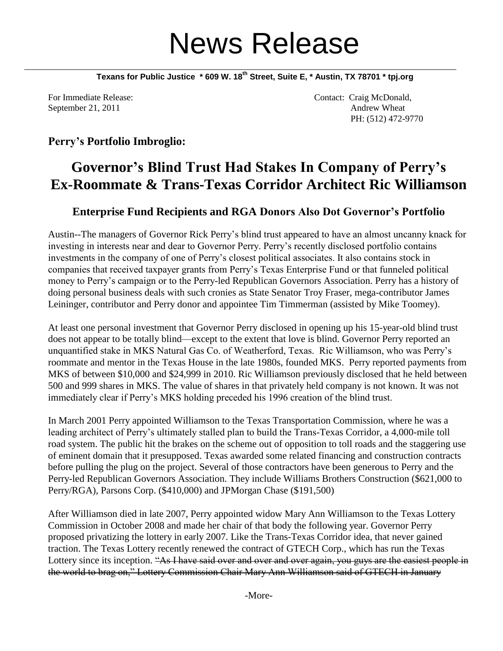## News Release

**Texans for Public Justice \* 609 W. 18th Street, Suite E, \* Austin, TX 78701 \* tpj.org**

For Immediate Release:  $\blacksquare$  Contact: Craig McDonald, September 21, 2011 Andrew Wheat PH: (512) 472-9770

## **Perry's Portfolio Imbroglio:**

## **Governor's Blind Trust Had Stakes In Company of Perry's Ex-Roommate & Trans-Texas Corridor Architect Ric Williamson**

## **Enterprise Fund Recipients and RGA Donors Also Dot Governor's Portfolio**

Austin--The managers of Governor Rick Perry's blind trust appeared to have an almost uncanny knack for investing in interests near and dear to Governor Perry. Perry's recently disclosed portfolio contains investments in the company of one of Perry's closest political associates. It also contains stock in companies that received taxpayer grants from Perry's Texas Enterprise Fund or that funneled political money to Perry's campaign or to the Perry-led Republican Governors Association. Perry has a history of doing personal business deals with such cronies as State Senator Troy Fraser, mega-contributor James Leininger, contributor and Perry donor and appointee Tim Timmerman (assisted by Mike Toomey).

At least one personal investment that Governor Perry disclosed in opening up his 15-year-old blind trust does not appear to be totally blind—except to the extent that love is blind. Governor Perry reported an unquantified stake in MKS Natural Gas Co. of Weatherford, Texas. Ric Williamson, who was Perry's roommate and mentor in the Texas House in the late 1980s, founded MKS. Perry reported payments from MKS of between \$10,000 and \$24,999 in 2010. Ric Williamson previously disclosed that he held between 500 and 999 shares in MKS. The value of shares in that privately held company is not known. It was not immediately clear if Perry's MKS holding preceded his 1996 creation of the blind trust.

In March 2001 Perry appointed Williamson to the Texas Transportation Commission, where he was a leading architect of Perry's ultimately stalled plan to build the Trans-Texas Corridor, a 4,000-mile toll road system. The public hit the brakes on the scheme out of opposition to toll roads and the staggering use of eminent domain that it presupposed. Texas awarded some related financing and construction contracts before pulling the plug on the project. Several of those contractors have been generous to Perry and the Perry-led Republican Governors Association. They include Williams Brothers Construction (\$621,000 to Perry/RGA), Parsons Corp. (\$410,000) and JPMorgan Chase (\$191,500)

After Williamson died in late 2007, Perry appointed widow Mary Ann Williamson to the Texas Lottery Commission in October 2008 and made her chair of that body the following year. Governor Perry proposed privatizing the lottery in early 2007. Like the Trans-Texas Corridor idea, that never gained traction. The Texas Lottery recently renewed the contract of GTECH Corp., which has run the Texas Lottery since its inception. "As I have said over and over and over again, you guys are the easiest people in the world to brag on," Lottery Commission Chair Mary Ann Williamson said of GTECH in January